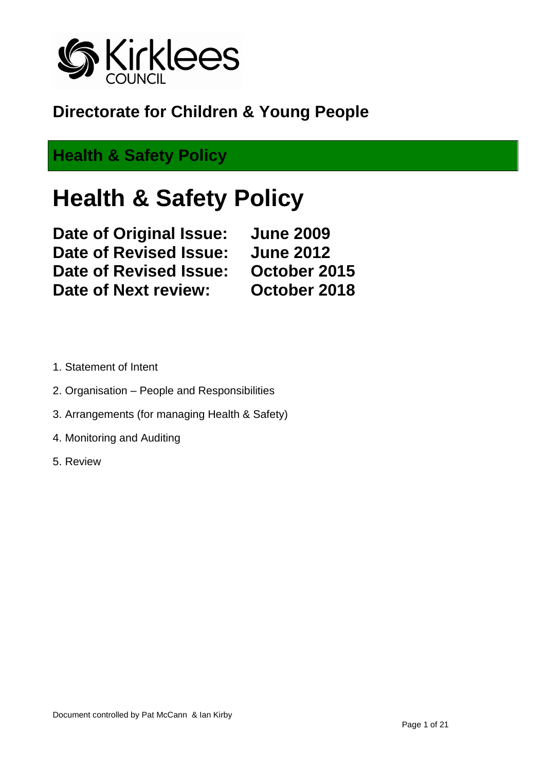

## **Directorate for Children & Young People**

## **Health & Safety Policy**

# **Health & Safety Policy**

| Date of Original Issue: | <b>June 2009</b> |
|-------------------------|------------------|
| Date of Revised Issue:  | <b>June 2012</b> |
| Date of Revised Issue:  | October 2015     |
| Date of Next review:    | October 2018     |

- 1. Statement of Intent
- 2. Organisation People and Responsibilities
- 3. Arrangements (for managing Health & Safety)
- 4. Monitoring and Auditing
- 5. Review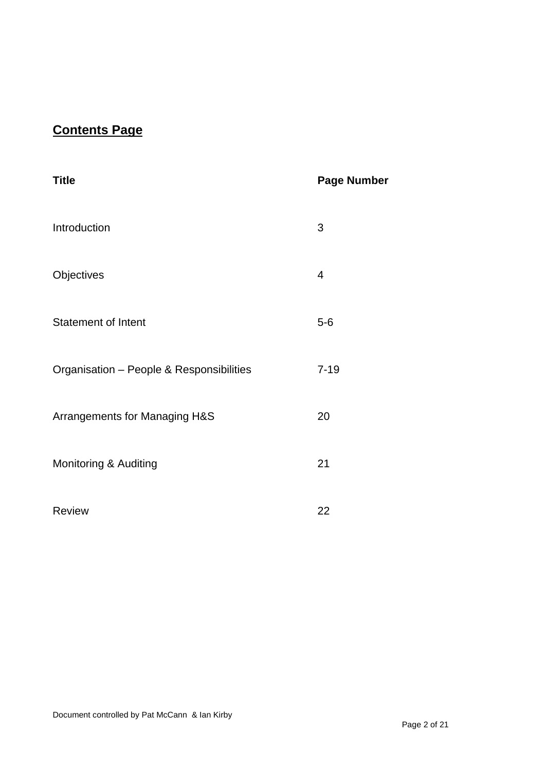### **Contents Page**

| <b>Title</b>                             | <b>Page Number</b> |
|------------------------------------------|--------------------|
| Introduction                             | 3                  |
| Objectives                               | $\overline{4}$     |
| <b>Statement of Intent</b>               | $5-6$              |
| Organisation - People & Responsibilities | $7 - 19$           |
| Arrangements for Managing H&S            | 20                 |
| <b>Monitoring &amp; Auditing</b>         | 21                 |
| <b>Review</b>                            | 22                 |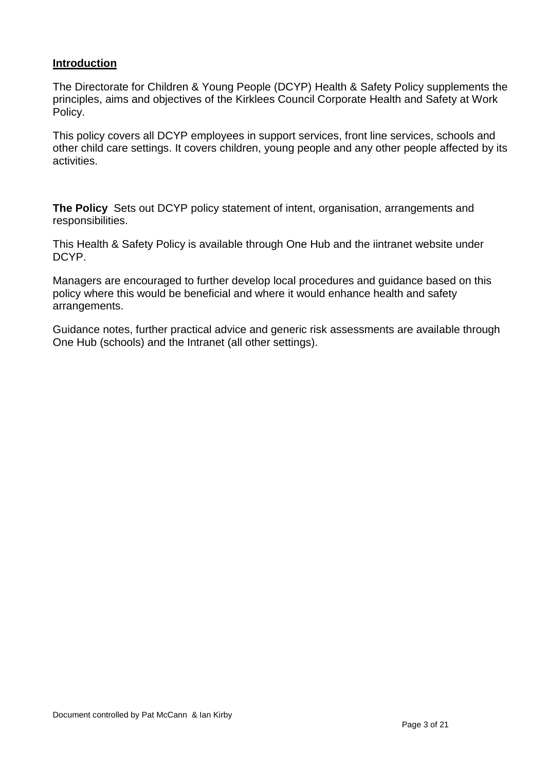#### **Introduction**

The Directorate for Children & Young People (DCYP) Health & Safety Policy supplements the principles, aims and objectives of the Kirklees Council Corporate Health and Safety at Work Policy.

This policy covers all DCYP employees in support services, front line services, schools and other child care settings. It covers children, young people and any other people affected by its activities.

**The Policy** Sets out DCYP policy statement of intent, organisation, arrangements and responsibilities.

This Health & Safety Policy is available through One Hub and the iintranet website under DCYP.

Managers are encouraged to further develop local procedures and guidance based on this policy where this would be beneficial and where it would enhance health and safety arrangements.

Guidance notes, further practical advice and generic risk assessments are available through One Hub (schools) and the Intranet (all other settings).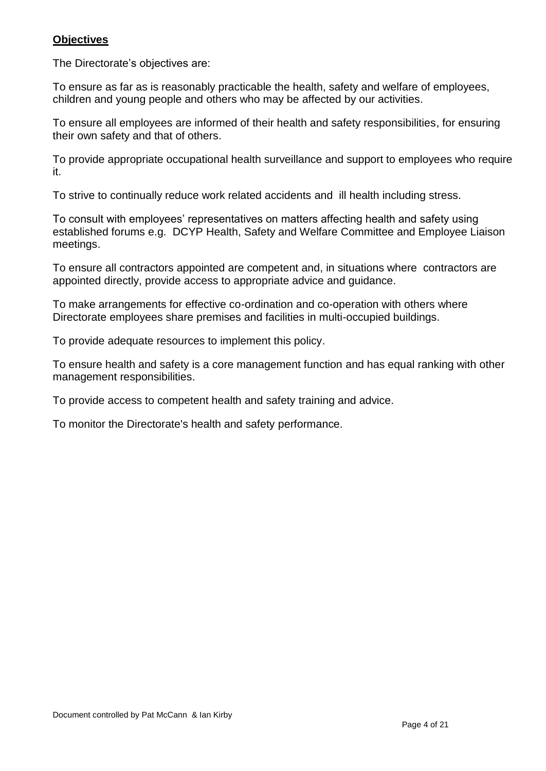#### **Objectives**

The Directorate's objectives are:

To ensure as far as is reasonably practicable the health, safety and welfare of employees, children and young people and others who may be affected by our activities.

To ensure all employees are informed of their health and safety responsibilities, for ensuring their own safety and that of others.

To provide appropriate occupational health surveillance and support to employees who require it.

To strive to continually reduce work related accidents and ill health including stress.

To consult with employees' representatives on matters affecting health and safety using established forums e.g. DCYP Health, Safety and Welfare Committee and Employee Liaison meetings.

To ensure all contractors appointed are competent and, in situations where contractors are appointed directly, provide access to appropriate advice and guidance.

To make arrangements for effective co-ordination and co-operation with others where Directorate employees share premises and facilities in multi-occupied buildings.

To provide adequate resources to implement this policy.

To ensure health and safety is a core management function and has equal ranking with other management responsibilities.

To provide access to competent health and safety training and advice.

To monitor the Directorate's health and safety performance.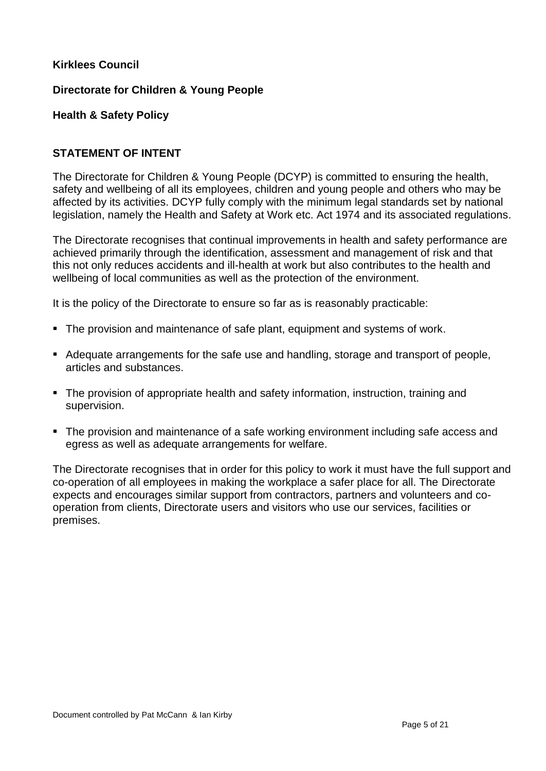#### **Kirklees Council**

#### **Directorate for Children & Young People**

#### **Health & Safety Policy**

#### **STATEMENT OF INTENT**

The Directorate for Children & Young People (DCYP) is committed to ensuring the health, safety and wellbeing of all its employees, children and young people and others who may be affected by its activities. DCYP fully comply with the minimum legal standards set by national legislation, namely the Health and Safety at Work etc. Act 1974 and its associated regulations.

The Directorate recognises that continual improvements in health and safety performance are achieved primarily through the identification, assessment and management of risk and that this not only reduces accidents and ill-health at work but also contributes to the health and wellbeing of local communities as well as the protection of the environment.

It is the policy of the Directorate to ensure so far as is reasonably practicable:

- The provision and maintenance of safe plant, equipment and systems of work.
- Adequate arrangements for the safe use and handling, storage and transport of people, articles and substances.
- The provision of appropriate health and safety information, instruction, training and supervision.
- The provision and maintenance of a safe working environment including safe access and egress as well as adequate arrangements for welfare.

The Directorate recognises that in order for this policy to work it must have the full support and co-operation of all employees in making the workplace a safer place for all. The Directorate expects and encourages similar support from contractors, partners and volunteers and cooperation from clients, Directorate users and visitors who use our services, facilities or premises.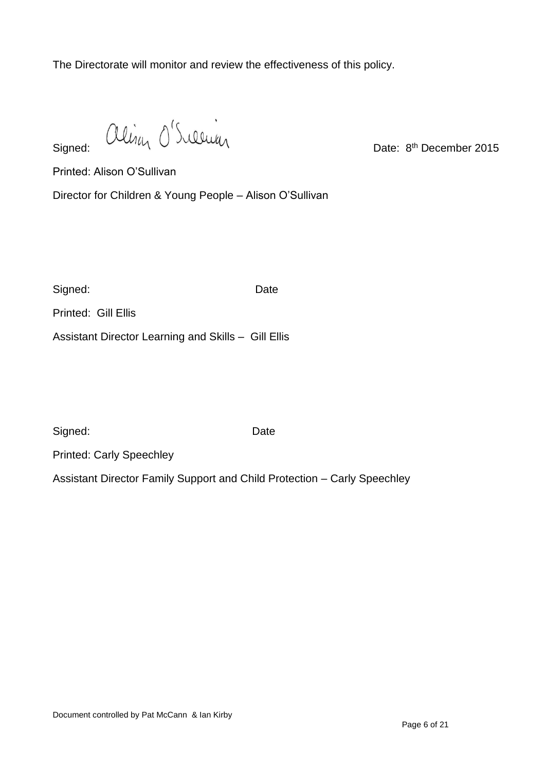The Directorate will monitor and review the effectiveness of this policy.

signed: alling O'Sullwar

Date: 8<sup>th</sup> December 2015

Printed: Alison O'Sullivan

Director for Children & Young People – Alison O'Sullivan

Signed: Date

Printed: Gill Ellis

Assistant Director Learning and Skills – Gill Ellis

Signed: Date

Printed: Carly Speechley

Assistant Director Family Support and Child Protection – Carly Speechley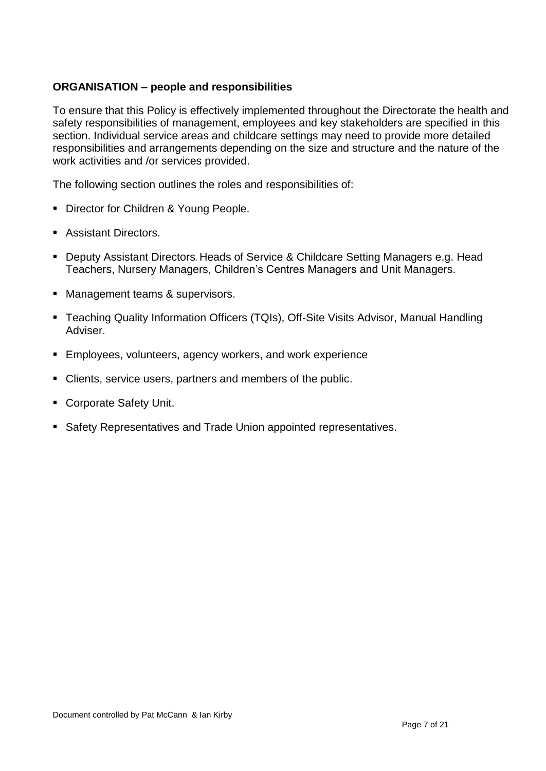#### **ORGANISATION – people and responsibilities**

To ensure that this Policy is effectively implemented throughout the Directorate the health and safety responsibilities of management, employees and key stakeholders are specified in this section. Individual service areas and childcare settings may need to provide more detailed responsibilities and arrangements depending on the size and structure and the nature of the work activities and /or services provided.

The following section outlines the roles and responsibilities of:

- Director for Children & Young People.
- Assistant Directors.
- Deputy Assistant Directors, Heads of Service & Childcare Setting Managers e.g. Head Teachers, Nursery Managers, Children's Centres Managers and Unit Managers.
- Management teams & supervisors.
- Teaching Quality Information Officers (TQIs), Off-Site Visits Advisor, Manual Handling Adviser.
- Employees, volunteers, agency workers, and work experience
- Clients, service users, partners and members of the public.
- Corporate Safety Unit.
- Safety Representatives and Trade Union appointed representatives.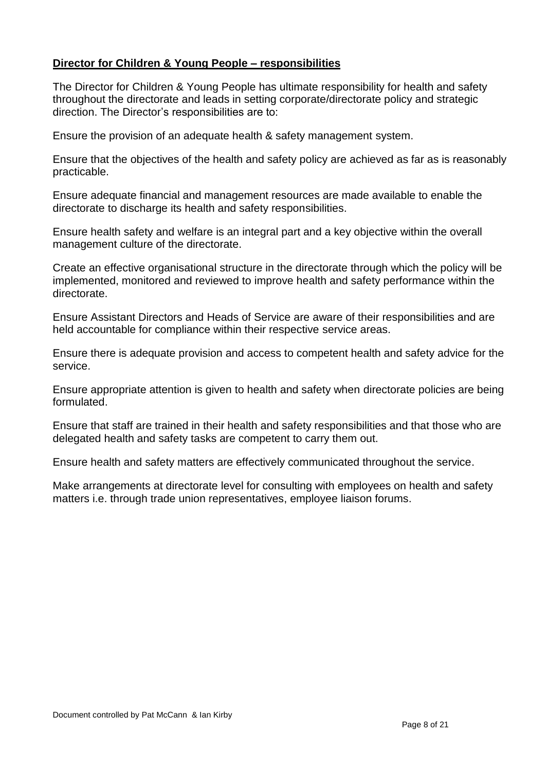#### **Director for Children & Young People – responsibilities**

The Director for Children & Young People has ultimate responsibility for health and safety throughout the directorate and leads in setting corporate/directorate policy and strategic direction. The Director's responsibilities are to:

Ensure the provision of an adequate health & safety management system.

Ensure that the objectives of the health and safety policy are achieved as far as is reasonably practicable.

Ensure adequate financial and management resources are made available to enable the directorate to discharge its health and safety responsibilities.

Ensure health safety and welfare is an integral part and a key objective within the overall management culture of the directorate.

Create an effective organisational structure in the directorate through which the policy will be implemented, monitored and reviewed to improve health and safety performance within the directorate.

Ensure Assistant Directors and Heads of Service are aware of their responsibilities and are held accountable for compliance within their respective service areas.

Ensure there is adequate provision and access to competent health and safety advice for the service.

Ensure appropriate attention is given to health and safety when directorate policies are being formulated.

Ensure that staff are trained in their health and safety responsibilities and that those who are delegated health and safety tasks are competent to carry them out.

Ensure health and safety matters are effectively communicated throughout the service.

Make arrangements at directorate level for consulting with employees on health and safety matters i.e. through trade union representatives, employee liaison forums.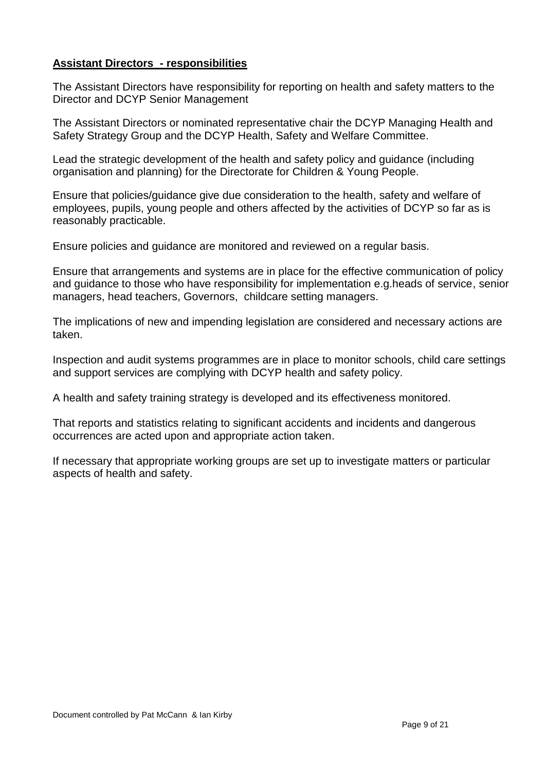#### **Assistant Directors - responsibilities**

The Assistant Directors have responsibility for reporting on health and safety matters to the Director and DCYP Senior Management

The Assistant Directors or nominated representative chair the DCYP Managing Health and Safety Strategy Group and the DCYP Health, Safety and Welfare Committee.

Lead the strategic development of the health and safety policy and guidance (including organisation and planning) for the Directorate for Children & Young People.

Ensure that policies/guidance give due consideration to the health, safety and welfare of employees, pupils, young people and others affected by the activities of DCYP so far as is reasonably practicable.

Ensure policies and guidance are monitored and reviewed on a regular basis.

Ensure that arrangements and systems are in place for the effective communication of policy and guidance to those who have responsibility for implementation e.g.heads of service, senior managers, head teachers, Governors, childcare setting managers.

The implications of new and impending legislation are considered and necessary actions are taken.

Inspection and audit systems programmes are in place to monitor schools, child care settings and support services are complying with DCYP health and safety policy.

A health and safety training strategy is developed and its effectiveness monitored.

That reports and statistics relating to significant accidents and incidents and dangerous occurrences are acted upon and appropriate action taken.

If necessary that appropriate working groups are set up to investigate matters or particular aspects of health and safety.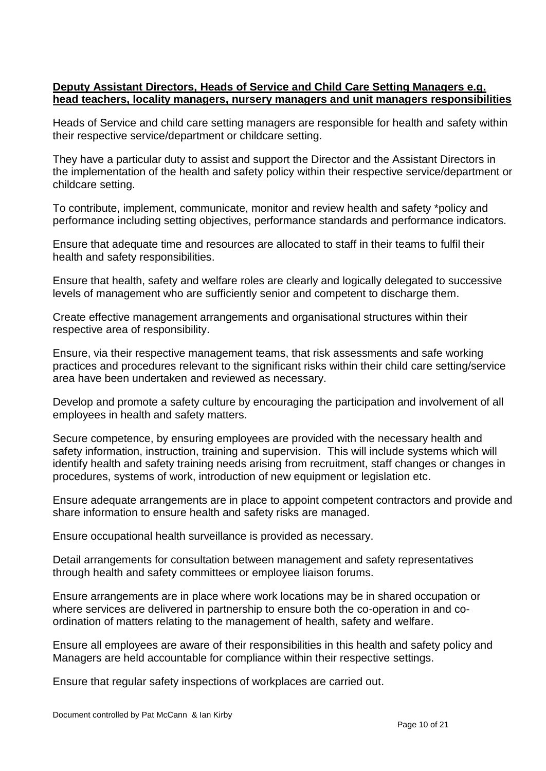#### **Deputy Assistant Directors, Heads of Service and Child Care Setting Managers e.g. head teachers, locality managers, nursery managers and unit managers responsibilities**

Heads of Service and child care setting managers are responsible for health and safety within their respective service/department or childcare setting.

They have a particular duty to assist and support the Director and the Assistant Directors in the implementation of the health and safety policy within their respective service/department or childcare setting.

To contribute, implement, communicate, monitor and review health and safety \*policy and performance including setting objectives, performance standards and performance indicators.

Ensure that adequate time and resources are allocated to staff in their teams to fulfil their health and safety responsibilities.

Ensure that health, safety and welfare roles are clearly and logically delegated to successive levels of management who are sufficiently senior and competent to discharge them.

Create effective management arrangements and organisational structures within their respective area of responsibility.

Ensure, via their respective management teams, that risk assessments and safe working practices and procedures relevant to the significant risks within their child care setting/service area have been undertaken and reviewed as necessary.

Develop and promote a safety culture by encouraging the participation and involvement of all employees in health and safety matters.

Secure competence, by ensuring employees are provided with the necessary health and safety information, instruction, training and supervision. This will include systems which will identify health and safety training needs arising from recruitment, staff changes or changes in procedures, systems of work, introduction of new equipment or legislation etc.

Ensure adequate arrangements are in place to appoint competent contractors and provide and share information to ensure health and safety risks are managed.

Ensure occupational health surveillance is provided as necessary.

Detail arrangements for consultation between management and safety representatives through health and safety committees or employee liaison forums.

Ensure arrangements are in place where work locations may be in shared occupation or where services are delivered in partnership to ensure both the co-operation in and coordination of matters relating to the management of health, safety and welfare.

Ensure all employees are aware of their responsibilities in this health and safety policy and Managers are held accountable for compliance within their respective settings.

Ensure that regular safety inspections of workplaces are carried out.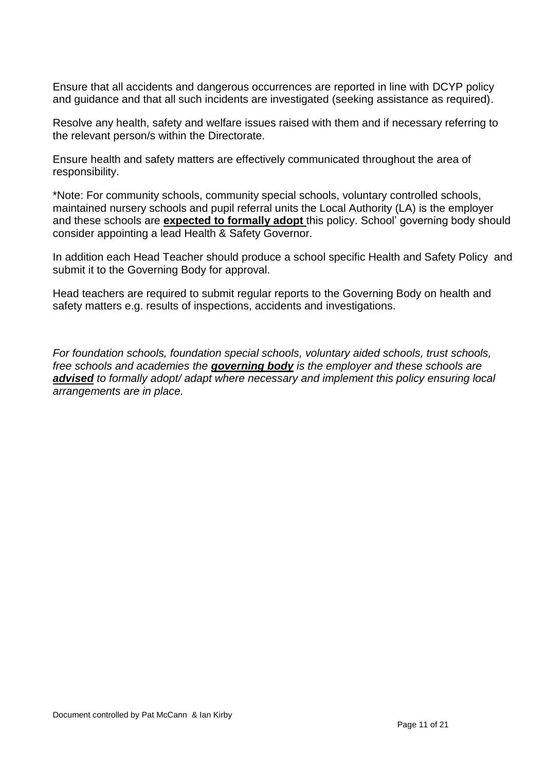Ensure that all accidents and dangerous occurrences are reported in line with DCYP policy and guidance and that all such incidents are investigated (seeking assistance as required).

Resolve any health, safety and welfare issues raised with them and if necessary referring to the relevant person/s within the Directorate.

Ensure health and safety matters are effectively communicated throughout the area of responsibility.

\*Note: For community schools, community special schools, voluntary controlled schools, maintained nursery schools and pupil referral units the Local Authority (LA) is the employer and these schools are **expected to formally adopt** this policy. School' governing body should consider appointing a lead Health & Safety Governor.

In addition each Head Teacher should produce a school specific Health and Safety Policy and submit it to the Governing Body for approval.

Head teachers are required to submit regular reports to the Governing Body on health and safety matters e.g. results of inspections, accidents and investigations.

*For foundation schools, foundation special schools, voluntary aided schools, trust schools, free schools and academies the governing body is the employer and these schools are advised to formally adopt/ adapt where necessary and implement this policy ensuring local arrangements are in place.*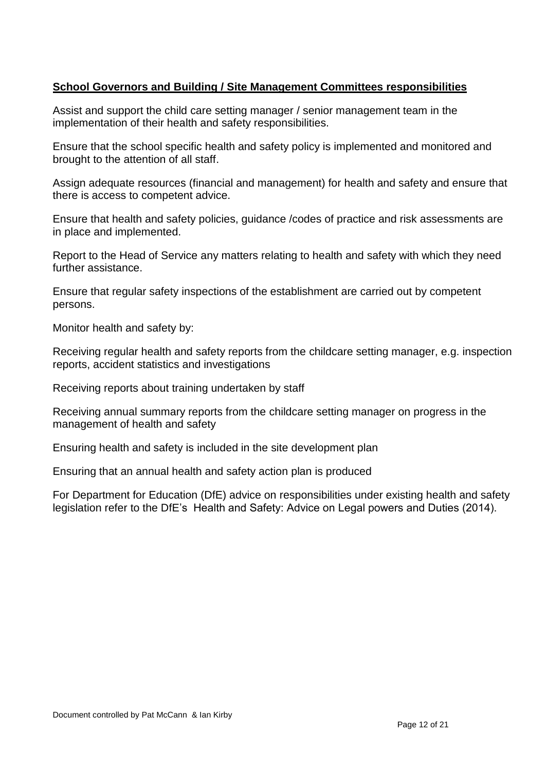#### **School Governors and Building / Site Management Committees responsibilities**

Assist and support the child care setting manager / senior management team in the implementation of their health and safety responsibilities.

Ensure that the school specific health and safety policy is implemented and monitored and brought to the attention of all staff.

Assign adequate resources (financial and management) for health and safety and ensure that there is access to competent advice.

Ensure that health and safety policies, guidance /codes of practice and risk assessments are in place and implemented.

Report to the Head of Service any matters relating to health and safety with which they need further assistance.

Ensure that regular safety inspections of the establishment are carried out by competent persons.

Monitor health and safety by:

Receiving regular health and safety reports from the childcare setting manager, e.g. inspection reports, accident statistics and investigations

Receiving reports about training undertaken by staff

Receiving annual summary reports from the childcare setting manager on progress in the management of health and safety

Ensuring health and safety is included in the site development plan

Ensuring that an annual health and safety action plan is produced

For Department for Education (DfE) advice on responsibilities under existing health and safety legislation refer to the DfE's Health and Safety: Advice on Legal powers and Duties (2014).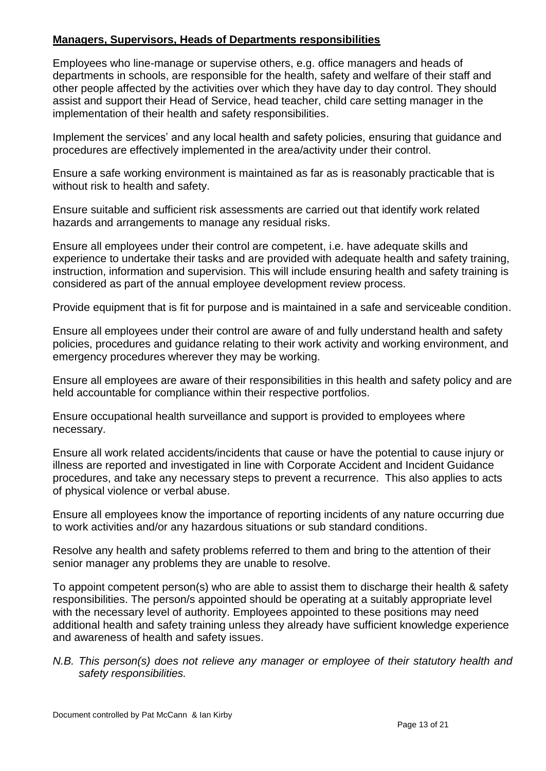#### **Managers, Supervisors, Heads of Departments responsibilities**

Employees who line-manage or supervise others, e.g. office managers and heads of departments in schools, are responsible for the health, safety and welfare of their staff and other people affected by the activities over which they have day to day control. They should assist and support their Head of Service, head teacher, child care setting manager in the implementation of their health and safety responsibilities.

Implement the services' and any local health and safety policies, ensuring that guidance and procedures are effectively implemented in the area/activity under their control.

Ensure a safe working environment is maintained as far as is reasonably practicable that is without risk to health and safety.

Ensure suitable and sufficient risk assessments are carried out that identify work related hazards and arrangements to manage any residual risks.

Ensure all employees under their control are competent, i.e. have adequate skills and experience to undertake their tasks and are provided with adequate health and safety training, instruction, information and supervision. This will include ensuring health and safety training is considered as part of the annual employee development review process.

Provide equipment that is fit for purpose and is maintained in a safe and serviceable condition.

Ensure all employees under their control are aware of and fully understand health and safety policies, procedures and guidance relating to their work activity and working environment, and emergency procedures wherever they may be working.

Ensure all employees are aware of their responsibilities in this health and safety policy and are held accountable for compliance within their respective portfolios.

Ensure occupational health surveillance and support is provided to employees where necessary.

Ensure all work related accidents/incidents that cause or have the potential to cause injury or illness are reported and investigated in line with Corporate Accident and Incident Guidance procedures, and take any necessary steps to prevent a recurrence. This also applies to acts of physical violence or verbal abuse.

Ensure all employees know the importance of reporting incidents of any nature occurring due to work activities and/or any hazardous situations or sub standard conditions.

Resolve any health and safety problems referred to them and bring to the attention of their senior manager any problems they are unable to resolve.

To appoint competent person(s) who are able to assist them to discharge their health & safety responsibilities. The person/s appointed should be operating at a suitably appropriate level with the necessary level of authority. Employees appointed to these positions may need additional health and safety training unless they already have sufficient knowledge experience and awareness of health and safety issues.

*N.B. This person(s) does not relieve any manager or employee of their statutory health and safety responsibilities.*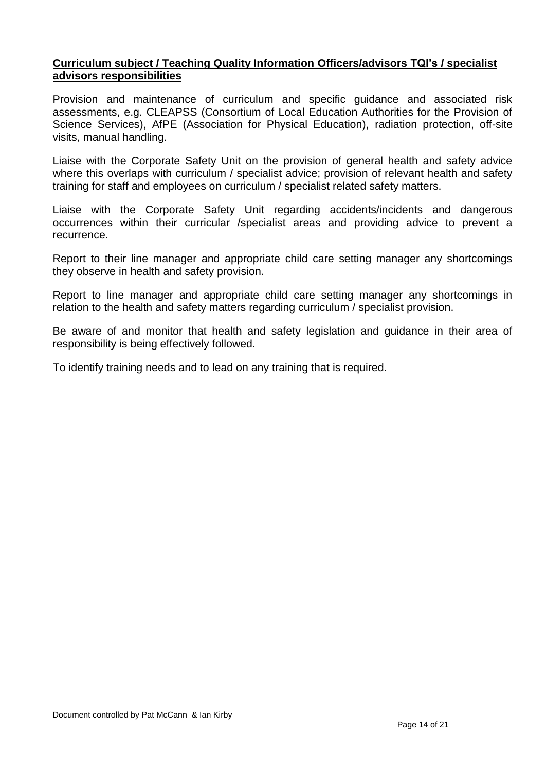#### **Curriculum subject / Teaching Quality Information Officers/advisors TQI's / specialist advisors responsibilities**

Provision and maintenance of curriculum and specific guidance and associated risk assessments, e.g. CLEAPSS (Consortium of Local Education Authorities for the Provision of Science Services), AfPE (Association for Physical Education), radiation protection, off-site visits, manual handling.

Liaise with the Corporate Safety Unit on the provision of general health and safety advice where this overlaps with curriculum / specialist advice; provision of relevant health and safety training for staff and employees on curriculum / specialist related safety matters.

Liaise with the Corporate Safety Unit regarding accidents/incidents and dangerous occurrences within their curricular /specialist areas and providing advice to prevent a recurrence.

Report to their line manager and appropriate child care setting manager any shortcomings they observe in health and safety provision.

Report to line manager and appropriate child care setting manager any shortcomings in relation to the health and safety matters regarding curriculum / specialist provision.

Be aware of and monitor that health and safety legislation and guidance in their area of responsibility is being effectively followed.

To identify training needs and to lead on any training that is required.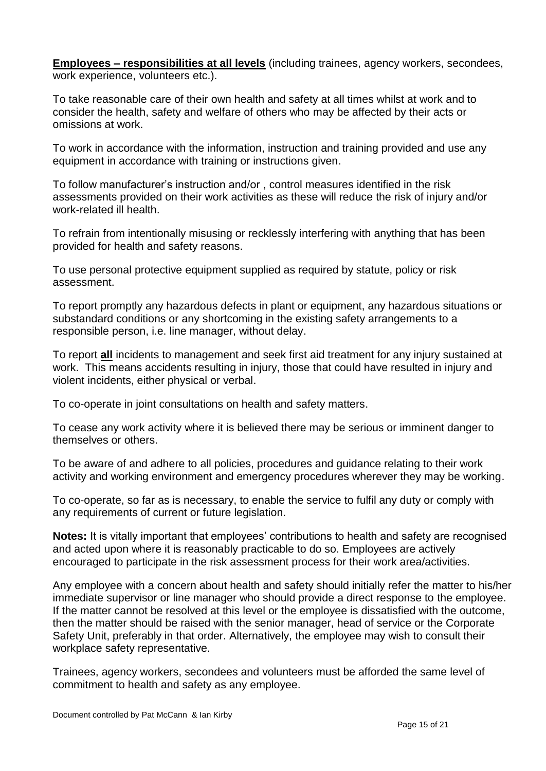**Employees – responsibilities at all levels** (including trainees, agency workers, secondees, work experience, volunteers etc.).

To take reasonable care of their own health and safety at all times whilst at work and to consider the health, safety and welfare of others who may be affected by their acts or omissions at work.

To work in accordance with the information, instruction and training provided and use any equipment in accordance with training or instructions given.

To follow manufacturer's instruction and/or , control measures identified in the risk assessments provided on their work activities as these will reduce the risk of injury and/or work-related ill health.

To refrain from intentionally misusing or recklessly interfering with anything that has been provided for health and safety reasons.

To use personal protective equipment supplied as required by statute, policy or risk assessment.

To report promptly any hazardous defects in plant or equipment, any hazardous situations or substandard conditions or any shortcoming in the existing safety arrangements to a responsible person, i.e. line manager, without delay.

To report **all** incidents to management and seek first aid treatment for any injury sustained at work. This means accidents resulting in injury, those that could have resulted in injury and violent incidents, either physical or verbal.

To co-operate in joint consultations on health and safety matters.

To cease any work activity where it is believed there may be serious or imminent danger to themselves or others.

To be aware of and adhere to all policies, procedures and guidance relating to their work activity and working environment and emergency procedures wherever they may be working.

To co-operate, so far as is necessary, to enable the service to fulfil any duty or comply with any requirements of current or future legislation.

**Notes:** It is vitally important that employees' contributions to health and safety are recognised and acted upon where it is reasonably practicable to do so. Employees are actively encouraged to participate in the risk assessment process for their work area/activities.

Any employee with a concern about health and safety should initially refer the matter to his/her immediate supervisor or line manager who should provide a direct response to the employee. If the matter cannot be resolved at this level or the employee is dissatisfied with the outcome, then the matter should be raised with the senior manager, head of service or the Corporate Safety Unit, preferably in that order. Alternatively, the employee may wish to consult their workplace safety representative.

Trainees, agency workers, secondees and volunteers must be afforded the same level of commitment to health and safety as any employee.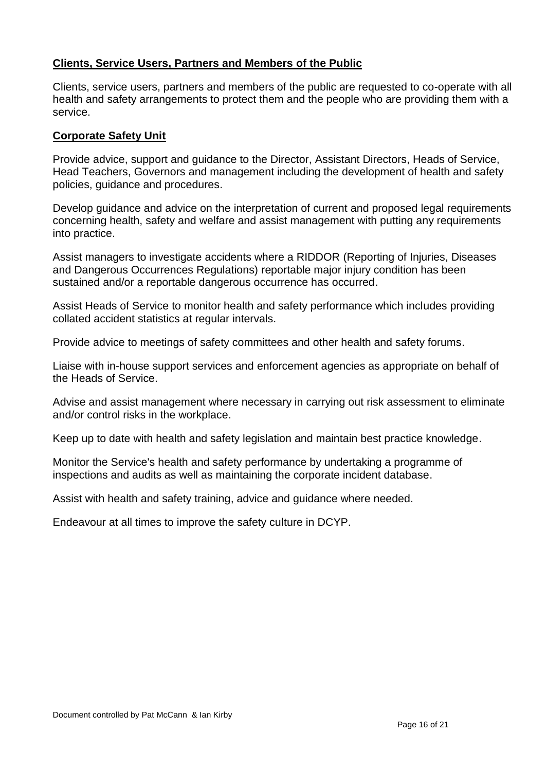#### **Clients, Service Users, Partners and Members of the Public**

Clients, service users, partners and members of the public are requested to co-operate with all health and safety arrangements to protect them and the people who are providing them with a service.

#### **Corporate Safety Unit**

Provide advice, support and guidance to the Director, Assistant Directors, Heads of Service, Head Teachers, Governors and management including the development of health and safety policies, guidance and procedures.

Develop guidance and advice on the interpretation of current and proposed legal requirements concerning health, safety and welfare and assist management with putting any requirements into practice.

Assist managers to investigate accidents where a RIDDOR (Reporting of Injuries, Diseases and Dangerous Occurrences Regulations) reportable major injury condition has been sustained and/or a reportable dangerous occurrence has occurred.

Assist Heads of Service to monitor health and safety performance which includes providing collated accident statistics at regular intervals.

Provide advice to meetings of safety committees and other health and safety forums.

Liaise with in-house support services and enforcement agencies as appropriate on behalf of the Heads of Service.

Advise and assist management where necessary in carrying out risk assessment to eliminate and/or control risks in the workplace.

Keep up to date with health and safety legislation and maintain best practice knowledge.

Monitor the Service's health and safety performance by undertaking a programme of inspections and audits as well as maintaining the corporate incident database.

Assist with health and safety training, advice and guidance where needed.

Endeavour at all times to improve the safety culture in DCYP.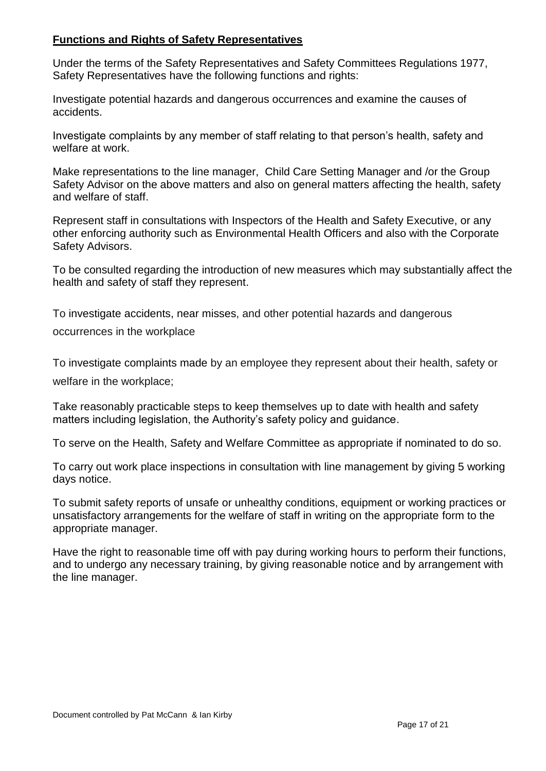#### **Functions and Rights of Safety Representatives**

Under the terms of the Safety Representatives and Safety Committees Regulations 1977, Safety Representatives have the following functions and rights:

Investigate potential hazards and dangerous occurrences and examine the causes of accidents.

Investigate complaints by any member of staff relating to that person's health, safety and welfare at work.

Make representations to the line manager, Child Care Setting Manager and /or the Group Safety Advisor on the above matters and also on general matters affecting the health, safety and welfare of staff.

Represent staff in consultations with Inspectors of the Health and Safety Executive, or any other enforcing authority such as Environmental Health Officers and also with the Corporate Safety Advisors.

To be consulted regarding the introduction of new measures which may substantially affect the health and safety of staff they represent.

To investigate [accidents,](http://www.hse.gov.uk/involvement/accidents.htm) near misses, and other potential hazards and dangerous

occurrences in the workplace

To investigate [complaints](http://www.hse.gov.uk/involvement/inspections.htm) made by an employee they represent about their health, safety or welfare in the workplace;

Take reasonably practicable steps to keep themselves up to date with health and safety matters including legislation, the Authority's safety policy and guidance.

To serve on the Health, Safety and Welfare Committee as appropriate if nominated to do so.

To carry out work place inspections in consultation with line management by giving 5 working days notice.

To submit safety reports of unsafe or unhealthy conditions, equipment or working practices or unsatisfactory arrangements for the welfare of staff in writing on the appropriate form to the appropriate manager.

Have the right to reasonable time off with pay during working hours to perform their functions, and to undergo any necessary training, by giving reasonable notice and by arrangement with the line manager.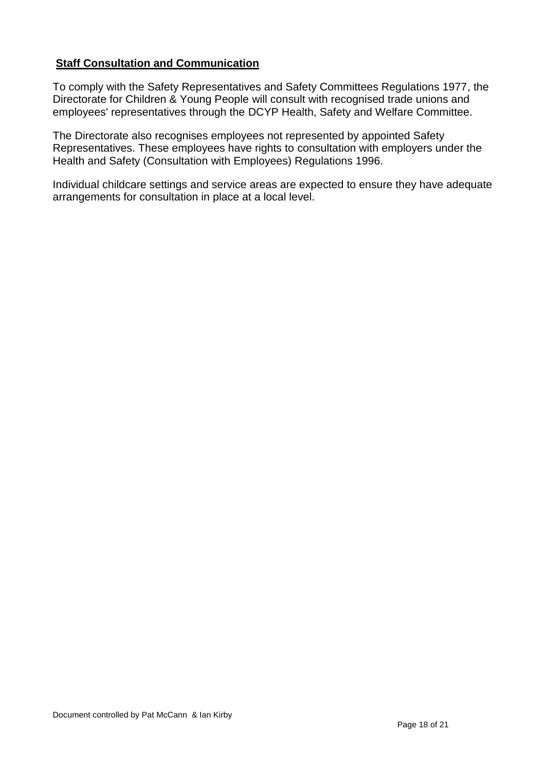#### **Staff Consultation and Communication**

To comply with the Safety Representatives and Safety Committees Regulations 1977, the Directorate for Children & Young People will consult with recognised trade unions and employees' representatives through the DCYP Health, Safety and Welfare Committee.

The Directorate also recognises employees not represented by appointed Safety Representatives. These employees have rights to consultation with employers under the Health and Safety (Consultation with Employees) Regulations 1996.

Individual childcare settings and service areas are expected to ensure they have adequate arrangements for consultation in place at a local level.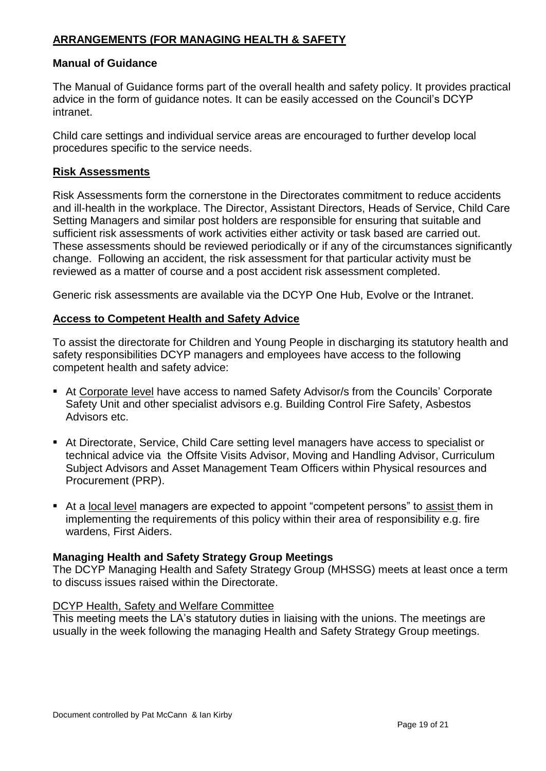#### **ARRANGEMENTS (FOR MANAGING HEALTH & SAFETY**

#### **Manual of Guidance**

The Manual of Guidance forms part of the overall health and safety policy. It provides practical advice in the form of guidance notes. It can be easily accessed on the Council's DCYP intranet.

Child care settings and individual service areas are encouraged to further develop local procedures specific to the service needs.

#### **Risk Assessments**

Risk Assessments form the cornerstone in the Directorates commitment to reduce accidents and ill-health in the workplace. The Director, Assistant Directors, Heads of Service, Child Care Setting Managers and similar post holders are responsible for ensuring that suitable and sufficient risk assessments of work activities either activity or task based are carried out. These assessments should be reviewed periodically or if any of the circumstances significantly change. Following an accident, the risk assessment for that particular activity must be reviewed as a matter of course and a post accident risk assessment completed.

Generic risk assessments are available via the DCYP One Hub, Evolve or the Intranet.

#### **Access to Competent Health and Safety Advice**

To assist the directorate for Children and Young People in discharging its statutory health and safety responsibilities DCYP managers and employees have access to the following competent health and safety advice:

- At Corporate level have access to named Safety Advisor/s from the Councils' Corporate Safety Unit and other specialist advisors e.g. Building Control Fire Safety, Asbestos Advisors etc.
- At Directorate, Service, Child Care setting level managers have access to specialist or technical advice via the Offsite Visits Advisor, Moving and Handling Advisor, Curriculum Subject Advisors and Asset Management Team Officers within Physical resources and Procurement (PRP).
- At a local level managers are expected to appoint "competent persons" to assist them in implementing the requirements of this policy within their area of responsibility e.g. fire wardens, First Aiders.

#### **Managing Health and Safety Strategy Group Meetings**

The DCYP Managing Health and Safety Strategy Group (MHSSG) meets at least once a term to discuss issues raised within the Directorate.

#### DCYP Health, Safety and Welfare Committee

This meeting meets the LA's statutory duties in liaising with the unions. The meetings are usually in the week following the managing Health and Safety Strategy Group meetings.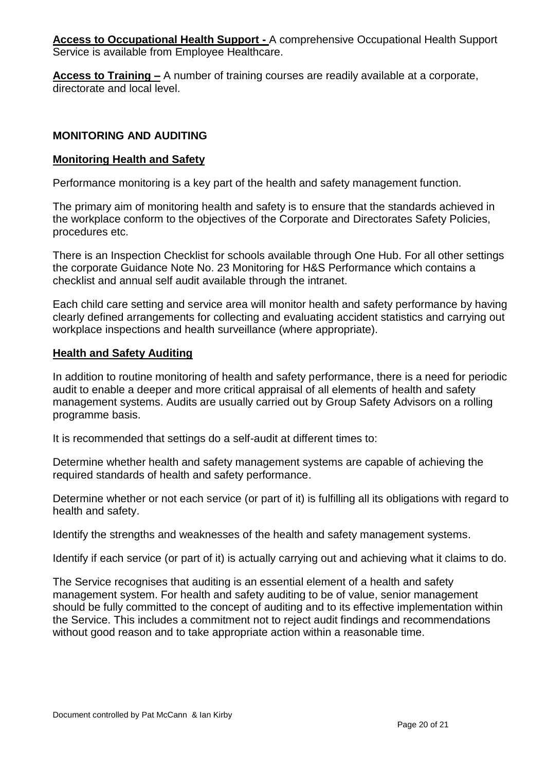**Access to Occupational Health Support -** A comprehensive Occupational Health Support Service is available from Employee Healthcare.

**Access to Training –** A number of training courses are readily available at a corporate, directorate and local level.

#### **MONITORING AND AUDITING**

#### **Monitoring Health and Safety**

Performance monitoring is a key part of the health and safety management function.

The primary aim of monitoring health and safety is to ensure that the standards achieved in the workplace conform to the objectives of the Corporate and Directorates Safety Policies, procedures etc.

There is an Inspection Checklist for schools available through One Hub. For all other settings the corporate Guidance Note No. 23 Monitoring for H&S Performance which contains a checklist and annual self audit available through the intranet.

Each child care setting and service area will monitor health and safety performance by having clearly defined arrangements for collecting and evaluating accident statistics and carrying out workplace inspections and health surveillance (where appropriate).

#### **Health and Safety Auditing**

In addition to routine monitoring of health and safety performance, there is a need for periodic audit to enable a deeper and more critical appraisal of all elements of health and safety management systems. Audits are usually carried out by Group Safety Advisors on a rolling programme basis.

It is recommended that settings do a self-audit at different times to:

Determine whether health and safety management systems are capable of achieving the required standards of health and safety performance.

Determine whether or not each service (or part of it) is fulfilling all its obligations with regard to health and safety.

Identify the strengths and weaknesses of the health and safety management systems.

Identify if each service (or part of it) is actually carrying out and achieving what it claims to do.

The Service recognises that auditing is an essential element of a health and safety management system. For health and safety auditing to be of value, senior management should be fully committed to the concept of auditing and to its effective implementation within the Service. This includes a commitment not to reject audit findings and recommendations without good reason and to take appropriate action within a reasonable time.